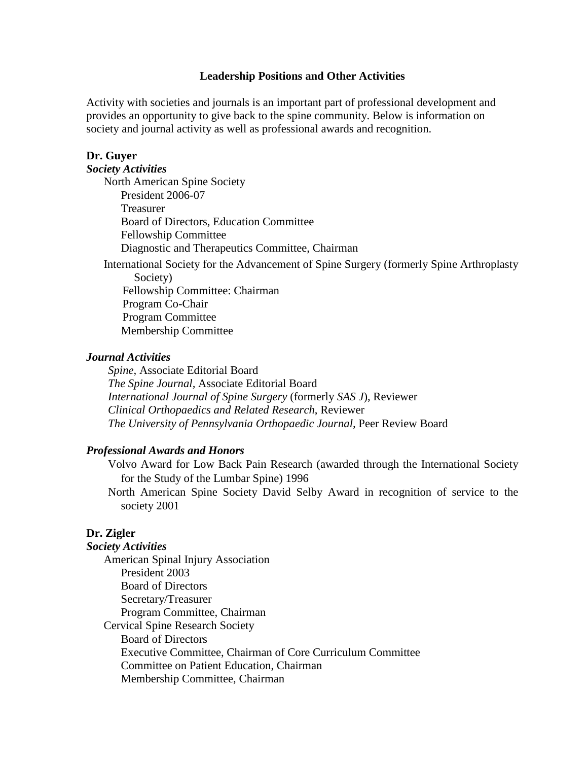### **Leadership Positions and Other Activities**

Activity with societies and journals is an important part of professional development and provides an opportunity to give back to the spine community. Below is information on society and journal activity as well as professional awards and recognition.

### **Dr. Guyer**

### *Society Activities*

North American Spine Society President 2006-07 Treasurer Board of Directors, Education Committee Fellowship Committee Diagnostic and Therapeutics Committee, Chairman

International Society for the Advancement of Spine Surgery (formerly Spine Arthroplasty Society)

 Fellowship Committee: Chairman Program Co-Chair Program Committee Membership Committee

#### *Journal Activities*

*Spine,* Associate Editorial Board *The Spine Journal,* Associate Editorial Board *International Journal of Spine Surgery* (formerly *SAS J*), Reviewer *Clinical Orthopaedics and Related Research*, Reviewer *The University of Pennsylvania Orthopaedic Journal,* Peer Review Board

### *Professional Awards and Honors*

Volvo Award for Low Back Pain Research (awarded through the International Society for the Study of the Lumbar Spine) 1996

North American Spine Society David Selby Award in recognition of service to the society 2001

## **Dr. Zigler**

#### *Society Activities*

American Spinal Injury Association President 2003 Board of Directors Secretary/Treasurer Program Committee, Chairman Cervical Spine Research Society Board of Directors Executive Committee, Chairman of Core Curriculum Committee Committee on Patient Education, Chairman Membership Committee, Chairman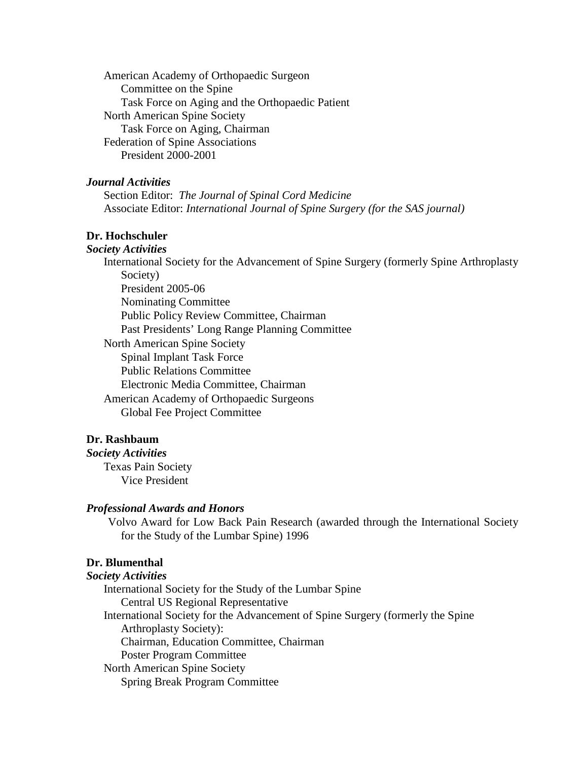American Academy of Orthopaedic Surgeon Committee on the Spine Task Force on Aging and the Orthopaedic Patient North American Spine Society Task Force on Aging, Chairman Federation of Spine Associations President 2000-2001

# *Journal Activities*

Section Editor: *The Journal of Spinal Cord Medicine* Associate Editor: *International Journal of Spine Surgery (for the SAS journal)*

# **Dr. Hochschuler**

*Society Activities* International Society for the Advancement of Spine Surgery (formerly Spine Arthroplasty Society) President 2005-06 Nominating Committee Public Policy Review Committee, Chairman Past Presidents' Long Range Planning Committee North American Spine Society Spinal Implant Task Force Public Relations Committee Electronic Media Committee, Chairman American Academy of Orthopaedic Surgeons Global Fee Project Committee

## **Dr. Rashbaum**

*Society Activities* Texas Pain Society Vice President

#### *Professional Awards and Honors*

Volvo Award for Low Back Pain Research (awarded through the International Society for the Study of the Lumbar Spine) 1996

# **Dr. Blumenthal**

*Society Activities* International Society for the Study of the Lumbar Spine Central US Regional Representative International Society for the Advancement of Spine Surgery (formerly the Spine Arthroplasty Society): Chairman, Education Committee, Chairman Poster Program Committee North American Spine Society Spring Break Program Committee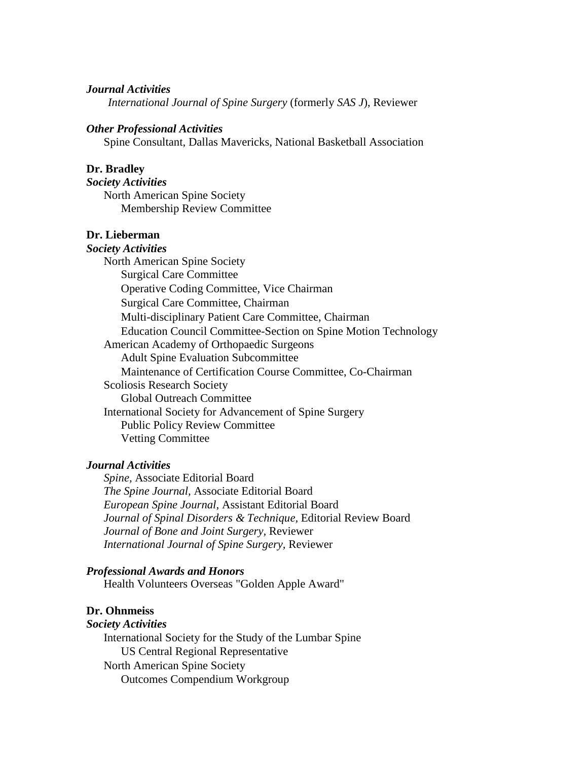### *Journal Activities*

*International Journal of Spine Surgery* (formerly *SAS J*), Reviewer

### *Other Professional Activities*

Spine Consultant, Dallas Mavericks, National Basketball Association

### **Dr. Bradley**

*Society Activities* North American Spine Society Membership Review Committee

## **Dr. Lieberman**

*Society Activities* North American Spine Society Surgical Care Committee Operative Coding Committee, Vice Chairman Surgical Care Committee, Chairman Multi-disciplinary Patient Care Committee, Chairman Education Council Committee-Section on Spine Motion Technology American Academy of Orthopaedic Surgeons Adult Spine Evaluation Subcommittee Maintenance of Certification Course Committee, Co-Chairman Scoliosis Research Society Global Outreach Committee International Society for Advancement of Spine Surgery Public Policy Review Committee Vetting Committee

### *Journal Activities*

*Spine,* Associate Editorial Board *The Spine Journal,* Associate Editorial Board *European Spine Journal,* Assistant Editorial Board *Journal of Spinal Disorders & Technique,* Editorial Review Board *Journal of Bone and Joint Surgery,* Reviewer *International Journal of Spine Surgery,* Reviewer

#### *Professional Awards and Honors*

Health Volunteers Overseas "Golden Apple Award"

#### **Dr. Ohnmeiss**

#### *Society Activities*

International Society for the Study of the Lumbar Spine US Central Regional Representative North American Spine Society Outcomes Compendium Workgroup